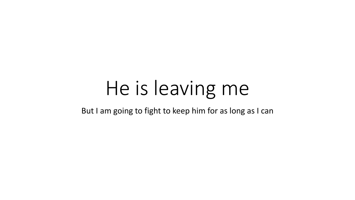# He is leaving me

But I am going to fight to keep him for as long as I can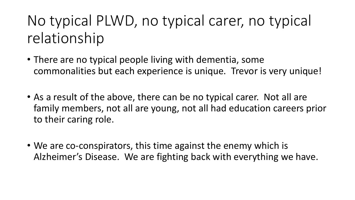## No typical PLWD, no typical carer, no typical relationship

- There are no typical people living with dementia, some commonalities but each experience is unique. Trevor is very unique!
- As a result of the above, there can be no typical carer. Not all are family members, not all are young, not all had education careers prior to their caring role.
- We are co-conspirators, this time against the enemy which is Alzheimer's Disease. We are fighting back with everything we have.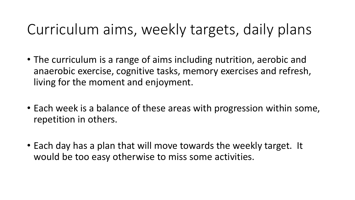#### Curriculum aims, weekly targets, daily plans

- The curriculum is a range of aims including nutrition, aerobic and anaerobic exercise, cognitive tasks, memory exercises and refresh, living for the moment and enjoyment.
- Each week is a balance of these areas with progression within some, repetition in others.
- Each day has a plan that will move towards the weekly target. It would be too easy otherwise to miss some activities.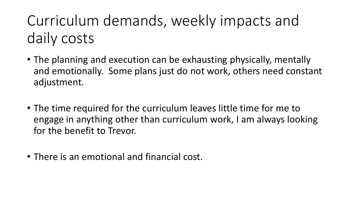## Curriculum demands, weekly impacts and daily costs

- The planning and execution can be exhausting physically, mentally and emotionally. Some plans just do not work, others need constant adjustment.
- The time required for the curriculum leaves little time for me to engage in anything other than curriculum work, I am always looking for the benefit to Trevor.
- There is an emotional and financial cost.